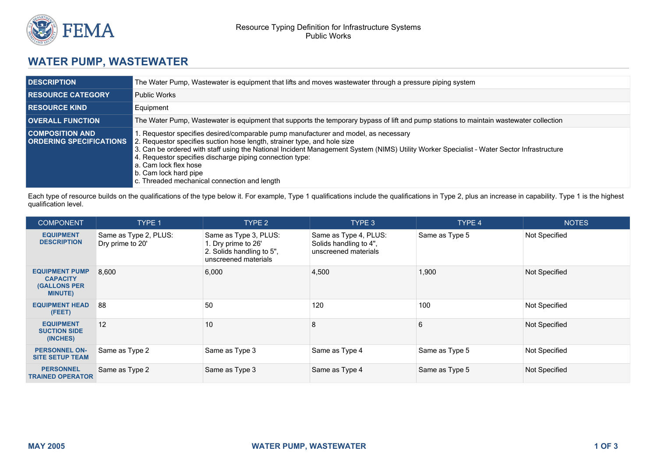

## **WATER PUMP, WASTEWATER**

| <b>DESCRIPTION</b>                                       | The Water Pump, Wastewater is equipment that lifts and moves wastewater through a pressure piping system                                                                                                                                                                                                                                                                                                                                                                     |  |  |
|----------------------------------------------------------|------------------------------------------------------------------------------------------------------------------------------------------------------------------------------------------------------------------------------------------------------------------------------------------------------------------------------------------------------------------------------------------------------------------------------------------------------------------------------|--|--|
| <b>I RESOURCE CATEGORY</b>                               | Public Works                                                                                                                                                                                                                                                                                                                                                                                                                                                                 |  |  |
| <b>RESOURCE KIND</b>                                     | Equipment                                                                                                                                                                                                                                                                                                                                                                                                                                                                    |  |  |
| <b>OVERALL FUNCTION</b>                                  | The Water Pump, Wastewater is equipment that supports the temporary bypass of lift and pump stations to maintain wastewater collection                                                                                                                                                                                                                                                                                                                                       |  |  |
| <b>COMPOSITION AND</b><br><b>ORDERING SPECIFICATIONS</b> | 1. Requestor specifies desired/comparable pump manufacturer and model, as necessary<br>2. Requestor specifies suction hose length, strainer type, and hole size<br>3. Can be ordered with staff using the National Incident Management System (NIMS) Utility Worker Specialist - Water Sector Infrastructure<br>4. Requestor specifies discharge piping connection type:<br>l a. Cam lock flex hose<br>b. Cam lock hard pipe<br>c. Threaded mechanical connection and length |  |  |

Each type of resource builds on the qualifications of the type below it. For example, Type 1 qualifications include the qualifications in Type 2, plus an increase in capability. Type 1 is the highest qualification level.

| <b>COMPONENT</b>                                                                  | TYPE 1                                    | TYPE 2                                                                                            | TYPE 3                                                                  | TYPE 4         | <b>NOTES</b>  |
|-----------------------------------------------------------------------------------|-------------------------------------------|---------------------------------------------------------------------------------------------------|-------------------------------------------------------------------------|----------------|---------------|
| <b>EQUIPMENT</b><br><b>DESCRIPTION</b>                                            | Same as Type 2, PLUS:<br>Dry prime to 20' | Same as Type 3, PLUS:<br>1. Dry prime to 26'<br>2. Solids handling to 5",<br>unscreened materials | Same as Type 4, PLUS:<br>Solids handling to 4",<br>unscreened materials | Same as Type 5 | Not Specified |
| <b>EQUIPMENT PUMP</b><br><b>CAPACITY</b><br><b>(GALLONS PER</b><br><b>MINUTE)</b> | 8.600                                     | 6,000                                                                                             | 4,500                                                                   | 1,900          | Not Specified |
| <b>EQUIPMENT HEAD</b><br>(FEET)                                                   | 88                                        | 50                                                                                                | 120                                                                     | 100            | Not Specified |
| <b>EQUIPMENT</b><br><b>SUCTION SIDE</b><br>(INCHES)                               | 12                                        | 10                                                                                                | 8                                                                       | 6              | Not Specified |
| <b>PERSONNEL ON-</b><br><b>SITE SETUP TEAM</b>                                    | Same as Type 2                            | Same as Type 3                                                                                    | Same as Type 4                                                          | Same as Type 5 | Not Specified |
| <b>PERSONNEL</b><br><b>TRAINED OPERATOR</b>                                       | Same as Type 2                            | Same as Type 3                                                                                    | Same as Type 4                                                          | Same as Type 5 | Not Specified |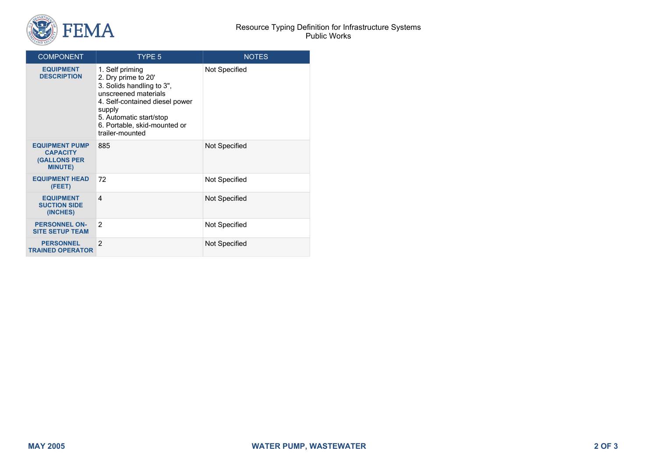

| <b>COMPONENT</b>                                                                  | TYPE 5                                                                                                                                                                                                                | <b>NOTES</b>  |
|-----------------------------------------------------------------------------------|-----------------------------------------------------------------------------------------------------------------------------------------------------------------------------------------------------------------------|---------------|
| <b>EQUIPMENT</b><br><b>DESCRIPTION</b>                                            | 1. Self priming<br>2. Dry prime to 20'<br>3. Solids handling to 3",<br>unscreened materials<br>4. Self-contained diesel power<br>supply<br>5. Automatic start/stop<br>6. Portable, skid-mounted or<br>trailer-mounted | Not Specified |
| <b>EQUIPMENT PUMP</b><br><b>CAPACITY</b><br><b>(GALLONS PER</b><br><b>MINUTE)</b> | 885                                                                                                                                                                                                                   | Not Specified |
| <b>EQUIPMENT HEAD</b><br>(FEET)                                                   | 72                                                                                                                                                                                                                    | Not Specified |
| <b>EQUIPMENT</b><br><b>SUCTION SIDE</b><br>(INCHES)                               | $\boldsymbol{\Lambda}$                                                                                                                                                                                                | Not Specified |
| <b>PERSONNEL ON-</b><br><b>SITE SETUP TEAM</b>                                    | $\mathfrak{p}$                                                                                                                                                                                                        | Not Specified |
| <b>PERSONNEL</b><br><b>TRAINED OPERATOR</b>                                       | $\mathcal{P}$                                                                                                                                                                                                         | Not Specified |